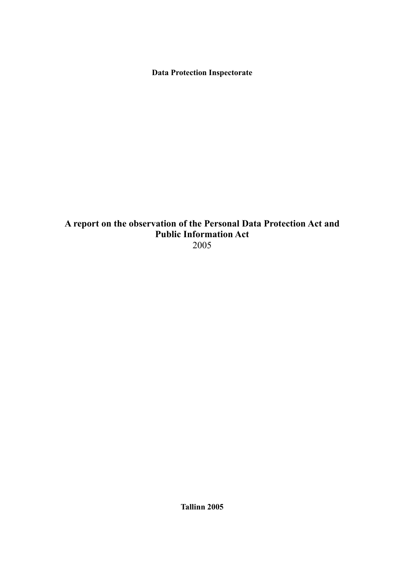**Data Protection Inspectorate**

# **A report on the observation of the Personal Data Protection Act and Public Information Act** 2005

**Tallinn 2005**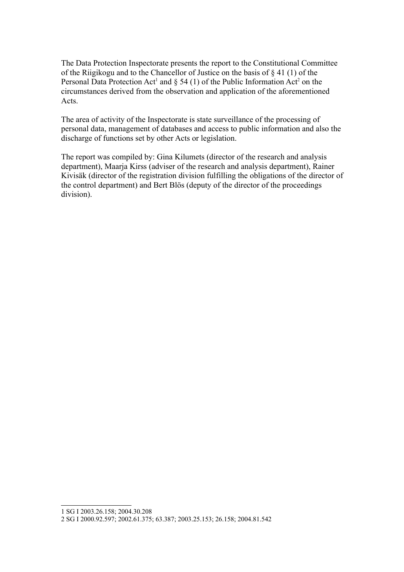The Data Protection Inspectorate presents the report to the Constitutional Committee of the Riigikogu and to the Chancellor of Justice on the basis of § 41 (1) of the Personal Data Protection Act<sup>[1](#page-1-0)</sup> and  $\S$  54 (1) of the Public Information Act<sup>[2](#page-1-1)</sup> on the circumstances derived from the observation and application of the aforementioned Acts.

The area of activity of the Inspectorate is state surveillance of the processing of personal data, management of databases and access to public information and also the discharge of functions set by other Acts or legislation.

The report was compiled by: Gina Kilumets (director of the research and analysis department), Maarja Kirss (adviser of the research and analysis department), Rainer Kivisäk (director of the registration division fulfilling the obligations of the director of the control department) and Bert Blös (deputy of the director of the proceedings division).

<span id="page-1-0"></span><sup>1</sup> SG I 2003.26.158; 2004.30.208

<span id="page-1-1"></span><sup>2</sup> SG I 2000.92.597; 2002.61.375; 63.387; 2003.25.153; 26.158; 2004.81.542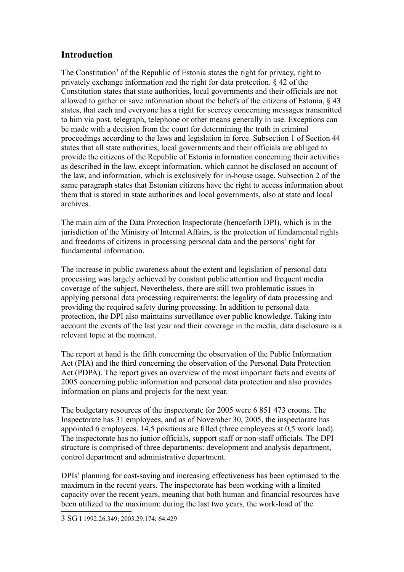# **Introduction**

The Constitution<sup>[3](#page-2-0)</sup> of the Republic of Estonia states the right for privacy, right to privately exchange information and the right for data protection. § 42 of the Constitution states that state authorities, local governments and their officials are not allowed to gather or save information about the beliefs of the citizens of Estonia, § 43 states, that each and everyone has a right for secrecy concerning messages transmitted to him via post, telegraph, telephone or other means generally in use. Exceptions can be made with a decision from the court for determining the truth in criminal proceedings according to the laws and legislation in force. Subsection 1 of Section 44 states that all state authorities, local governments and their officials are obliged to provide the citizens of the Republic of Estonia information concerning their activities as described in the law, except information, which cannot be disclosed on account of the law, and information, which is exclusively for in-house usage. Subsection 2 of the same paragraph states that Estonian citizens have the right to access information about them that is stored in state authorities and local governments, also at state and local archives.

The main aim of the Data Protection Inspectorate (henceforth DPI), which is in the jurisdiction of the Ministry of Internal Affairs, is the protection of fundamental rights and freedoms of citizens in processing personal data and the persons' right for fundamental information.

The increase in public awareness about the extent and legislation of personal data processing was largely achieved by constant public attention and frequent media coverage of the subject. Nevertheless, there are still two problematic issues in applying personal data processing requirements: the legality of data processing and providing the required safety during processing. In addition to personal data protection, the DPI also maintains surveillance over public knowledge. Taking into account the events of the last year and their coverage in the media, data disclosure is a relevant topic at the moment.

The report at hand is the fifth concerning the observation of the Public Information Act (PIA) and the third concerning the observation of the Personal Data Protection Act (PDPA). The report gives an overview of the most important facts and events of 2005 concerning public information and personal data protection and also provides information on plans and projects for the next year.

The budgetary resources of the inspectorate for 2005 were 6 851 473 croons. The Inspectorate has 31 employees, and as of November 30, 2005, the inspectorate has appointed 6 employees. 14,5 positions are filled (three employees at 0,5 work load). The inspectorate has no junior officials, support staff or non-staff officials. The DPI structure is comprised of three departments: development and analysis department, control department and administrative department.

<span id="page-2-0"></span>DPIs' planning for cost-saving and increasing effectiveness has been optimised to the maximum in the recent years. The inspectorate has been working with a limited capacity over the recent years, meaning that both human and financial resources have been utilized to the maximum: during the last two years, the work-load of the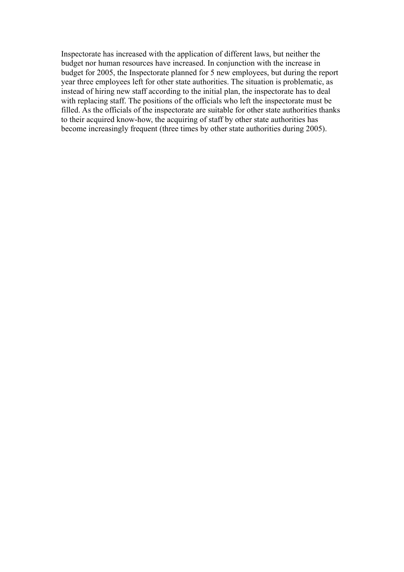Inspectorate has increased with the application of different laws, but neither the budget nor human resources have increased. In conjunction with the increase in budget for 2005, the Inspectorate planned for 5 new employees, but during the report year three employees left for other state authorities. The situation is problematic, as instead of hiring new staff according to the initial plan, the inspectorate has to deal with replacing staff. The positions of the officials who left the inspectorate must be filled. As the officials of the inspectorate are suitable for other state authorities thanks to their acquired know-how, the acquiring of staff by other state authorities has become increasingly frequent (three times by other state authorities during 2005).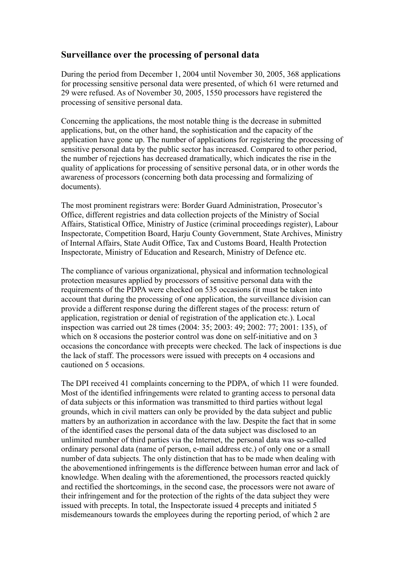## **Surveillance over the processing of personal data**

During the period from December 1, 2004 until November 30, 2005, 368 applications for processing sensitive personal data were presented, of which 61 were returned and 29 were refused. As of November 30, 2005, 1550 processors have registered the processing of sensitive personal data.

Concerning the applications, the most notable thing is the decrease in submitted applications, but, on the other hand, the sophistication and the capacity of the application have gone up. The number of applications for registering the processing of sensitive personal data by the public sector has increased. Compared to other period, the number of rejections has decreased dramatically, which indicates the rise in the quality of applications for processing of sensitive personal data, or in other words the awareness of processors (concerning both data processing and formalizing of documents).

The most prominent registrars were: Border Guard Administration, Prosecutor's Office, different registries and data collection projects of the Ministry of Social Affairs, Statistical Office, Ministry of Justice (criminal proceedings register), Labour Inspectorate, Competition Board, Harju County Government, State Archives, Ministry of Internal Affairs, State Audit Office, Tax and Customs Board, Health Protection Inspectorate, Ministry of Education and Research, Ministry of Defence etc.

The compliance of various organizational, physical and information technological protection measures applied by processors of sensitive personal data with the requirements of the PDPA were checked on 535 occasions (it must be taken into account that during the processing of one application, the surveillance division can provide a different response during the different stages of the process: return of application, registration or denial of registration of the application etc.). Local inspection was carried out 28 times (2004: 35; 2003: 49; 2002: 77; 2001: 135), of which on 8 occasions the posterior control was done on self-initiative and on 3 occasions the concordance with precepts were checked. The lack of inspections is due the lack of staff. The processors were issued with precepts on 4 occasions and cautioned on 5 occasions.

The DPI received 41 complaints concerning to the PDPA, of which 11 were founded. Most of the identified infringements were related to granting access to personal data of data subjects or this information was transmitted to third parties without legal grounds, which in civil matters can only be provided by the data subject and public matters by an authorization in accordance with the law. Despite the fact that in some of the identified cases the personal data of the data subject was disclosed to an unlimited number of third parties via the Internet, the personal data was so-called ordinary personal data (name of person, e-mail address etc.) of only one or a small number of data subjects. The only distinction that has to be made when dealing with the abovementioned infringements is the difference between human error and lack of knowledge. When dealing with the aforementioned, the processors reacted quickly and rectified the shortcomings, in the second case, the processors were not aware of their infringement and for the protection of the rights of the data subject they were issued with precepts. In total, the Inspectorate issued 4 precepts and initiated 5 misdemeanours towards the employees during the reporting period, of which 2 are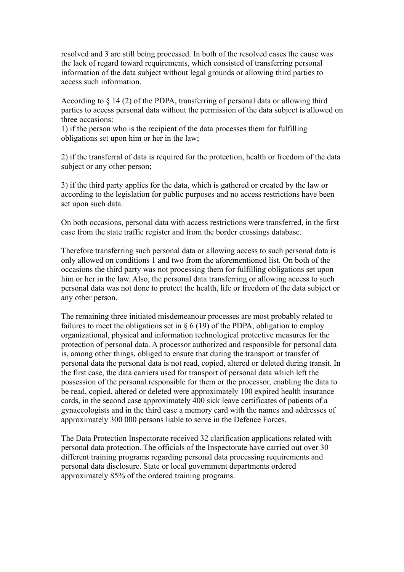resolved and 3 are still being processed. In both of the resolved cases the cause was the lack of regard toward requirements, which consisted of transferring personal information of the data subject without legal grounds or allowing third parties to access such information.

According to § 14 (2) of the PDPA, transferring of personal data or allowing third parties to access personal data without the permission of the data subject is allowed on three occasions:

1) if the person who is the recipient of the data processes them for fulfilling obligations set upon him or her in the law;

2) if the transferral of data is required for the protection, health or freedom of the data subject or any other person;

3) if the third party applies for the data, which is gathered or created by the law or according to the legislation for public purposes and no access restrictions have been set upon such data.

On both occasions, personal data with access restrictions were transferred, in the first case from the state traffic register and from the border crossings database.

Therefore transferring such personal data or allowing access to such personal data is only allowed on conditions 1 and two from the aforementioned list. On both of the occasions the third party was not processing them for fulfilling obligations set upon him or her in the law. Also, the personal data transferring or allowing access to such personal data was not done to protect the health, life or freedom of the data subject or any other person.

The remaining three initiated misdemeanour processes are most probably related to failures to meet the obligations set in  $\S 6 (19)$  of the PDPA, obligation to employ organizational, physical and information technological protective measures for the protection of personal data. A processor authorized and responsible for personal data is, among other things, obliged to ensure that during the transport or transfer of personal data the personal data is not read, copied, altered or deleted during transit. In the first case, the data carriers used for transport of personal data which left the possession of the personal responsible for them or the processor, enabling the data to be read, copied, altered or deleted were approximately 100 expired health insurance cards, in the second case approximately 400 sick leave certificates of patients of a gynaecologists and in the third case a memory card with the names and addresses of approximately 300 000 persons liable to serve in the Defence Forces.

The Data Protection Inspectorate received 32 clarification applications related with personal data protection. The officials of the Inspectorate have carried out over 30 different training programs regarding personal data processing requirements and personal data disclosure. State or local government departments ordered approximately 85% of the ordered training programs.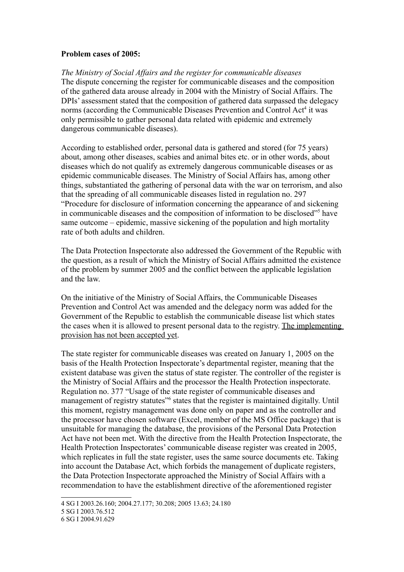#### **Problem cases of 2005:**

*The Ministry of Social Affairs and the register for communicable diseases* The dispute concerning the register for communicable diseases and the composition of the gathered data arouse already in 2004 with the Ministry of Social Affairs. The DPIs' assessment stated that the composition of gathered data surpassed the delegacy norms (according the Communicable Diseases Prevention and Control Act<sup>[4](#page-6-0)</sup> it was only permissible to gather personal data related with epidemic and extremely dangerous communicable diseases).

According to established order, personal data is gathered and stored (for 75 years) about, among other diseases, scabies and animal bites etc. or in other words, about diseases which do not qualify as extremely dangerous communicable diseases or as epidemic communicable diseases. The Ministry of Social Affairs has, among other things, substantiated the gathering of personal data with the war on terrorism, and also that the spreading of all communicable diseases listed in regulation no. 297 "Procedure for disclosure of information concerning the appearance of and sickening in communicable diseases and the composition of information to be disclosed"<sup>[5](#page-6-1)</sup> have same outcome – epidemic, massive sickening of the population and high mortality rate of both adults and children.

The Data Protection Inspectorate also addressed the Government of the Republic with the question, as a result of which the Ministry of Social Affairs admitted the existence of the problem by summer 2005 and the conflict between the applicable legislation and the law.

On the initiative of the Ministry of Social Affairs, the Communicable Diseases Prevention and Control Act was amended and the delegacy norm was added for the Government of the Republic to establish the communicable disease list which states the cases when it is allowed to present personal data to the registry. The implementing provision has not been accepted yet.

The state register for communicable diseases was created on January 1, 2005 on the basis of the Health Protection Inspectorate's departmental register, meaning that the existent database was given the status of state register. The controller of the register is the Ministry of Social Affairs and the processor the Health Protection inspectorate. Regulation no. 377 "Usage of the state register of communicable diseases and management of registry statutes<sup>1[6](#page-6-2)</sup> states that the register is maintained digitally. Until this moment, registry management was done only on paper and as the controller and the processor have chosen software (Excel, member of the MS Office package) that is unsuitable for managing the database, the provisions of the Personal Data Protection Act have not been met. With the directive from the Health Protection Inspectorate, the Health Protection Inspectorates' communicable disease register was created in 2005, which replicates in full the state register, uses the same source documents etc. Taking into account the Database Act, which forbids the management of duplicate registers, the Data Protection Inspectorate approached the Ministry of Social Affairs with a recommendation to have the establishment directive of the aforementioned register

<span id="page-6-0"></span><sup>4</sup> SG I 2003.26.160; 2004.27.177; 30.208; 2005 13.63; 24.180

<span id="page-6-1"></span><sup>5</sup> SG I 2003.76.512

<span id="page-6-2"></span><sup>6</sup> SG I 2004.91.629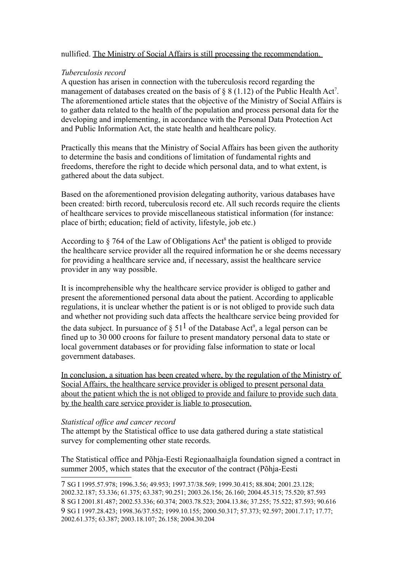### nullified. The Ministry of Social Affairs is still processing the recommendation.

### *Tuberculosis record*

A question has arisen in connection with the tuberculosis record regarding the management of databases created on the basis of  $\S 8(1.12)$  of the Public Health Act<sup>[7](#page-7-0)</sup>. The aforementioned article states that the objective of the Ministry of Social Affairs is to gather data related to the health of the population and process personal data for the developing and implementing, in accordance with the Personal Data Protection Act and Public Information Act, the state health and healthcare policy.

Practically this means that the Ministry of Social Affairs has been given the authority to determine the basis and conditions of limitation of fundamental rights and freedoms, therefore the right to decide which personal data, and to what extent, is gathered about the data subject.

Based on the aforementioned provision delegating authority, various databases have been created: birth record, tuberculosis record etc. All such records require the clients of healthcare services to provide miscellaneous statistical information (for instance: place of birth; education; field of activity, lifestyle, job etc.)

According to  $\S$  764 of the Law of Obligations Act<sup>[8](#page-7-1)</sup> the patient is obliged to provide the healthcare service provider all the required information he or she deems necessary for providing a healthcare service and, if necessary, assist the healthcare service provider in any way possible.

It is incomprehensible why the healthcare service provider is obliged to gather and present the aforementioned personal data about the patient. According to applicable regulations, it is unclear whether the patient is or is not obliged to provide such data and whether not providing such data affects the healthcare service being provided for the data subject. In pursuance of  $\S 51<sup>1</sup>$  of the Database Act<sup>[9](#page-7-2)</sup>, a legal person can be fined up to 30 000 croons for failure to present mandatory personal data to state or local government databases or for providing false information to state or local government databases.

In conclusion, a situation has been created where, by the regulation of the Ministry of Social Affairs, the healthcare service provider is obliged to present personal data about the patient which the is not obliged to provide and failure to provide such data by the health care service provider is liable to prosecution.

### *Statistical office and cancer record*

The attempt by the Statistical office to use data gathered during a state statistical survey for complementing other state records.

The Statistical office and Põhja-Eesti Regionaalhaigla foundation signed a contract in summer 2005, which states that the executor of the contract (Põhja-Eesti

<span id="page-7-2"></span><span id="page-7-1"></span><span id="page-7-0"></span><sup>7</sup> SG I 1995.57.978; 1996.3.56; 49.953; 1997.37/38.569; 1999.30.415; 88.804; 2001.23.128; 2002.32.187; 53.336; 61.375; 63.387; 90.251; 2003.26.156; 26.160; 2004.45.315; 75.520; 87.593 8 SG I 2001.81.487; 2002.53.336; 60.374; 2003.78.523; 2004.13.86; 37.255; 75.522; 87.593; 90.616 9 SG I 1997.28.423; 1998.36/37.552; 1999.10.155; 2000.50.317; 57.373; 92.597; 2001.7.17; 17.77; 2002.61.375; 63.387; 2003.18.107; 26.158; 2004.30.204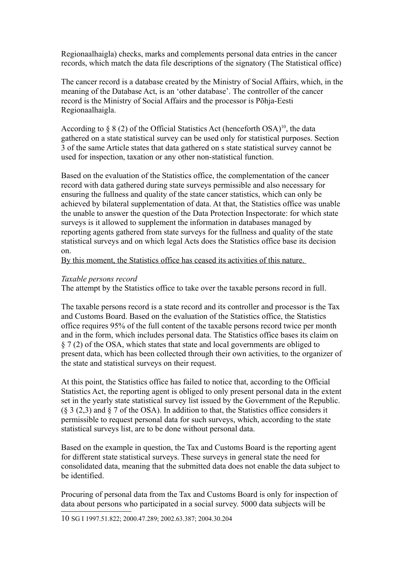Regionaalhaigla) checks, marks and complements personal data entries in the cancer records, which match the data file descriptions of the signatory (The Statistical office)

The cancer record is a database created by the Ministry of Social Affairs, which, in the meaning of the Database Act, is an 'other database'. The controller of the cancer record is the Ministry of Social Affairs and the processor is Põhja-Eesti Regionaalhaigla.

According to  $\S 8(2)$  of the Official Statistics Act (henceforth OSA)<sup>[10](#page-8-0)</sup>, the data gathered on a state statistical survey can be used only for statistical purposes. Section 3 of the same Article states that data gathered on s state statistical survey cannot be used for inspection, taxation or any other non-statistical function.

Based on the evaluation of the Statistics office, the complementation of the cancer record with data gathered during state surveys permissible and also necessary for ensuring the fullness and quality of the state cancer statistics, which can only be achieved by bilateral supplementation of data. At that, the Statistics office was unable the unable to answer the question of the Data Protection Inspectorate: for which state surveys is it allowed to supplement the information in databases managed by reporting agents gathered from state surveys for the fullness and quality of the state statistical surveys and on which legal Acts does the Statistics office base its decision on.

By this moment, the Statistics office has ceased its activities of this nature.

### *Taxable persons record*

The attempt by the Statistics office to take over the taxable persons record in full.

The taxable persons record is a state record and its controller and processor is the Tax and Customs Board. Based on the evaluation of the Statistics office, the Statistics office requires 95% of the full content of the taxable persons record twice per month and in the form, which includes personal data. The Statistics office bases its claim on § 7 (2) of the OSA, which states that state and local governments are obliged to present data, which has been collected through their own activities, to the organizer of the state and statistical surveys on their request.

At this point, the Statistics office has failed to notice that, according to the Official Statistics Act, the reporting agent is obliged to only present personal data in the extent set in the yearly state statistical survey list issued by the Government of the Republic. (§ 3 (2,3) and § 7 of the OSA). In addition to that, the Statistics office considers it permissible to request personal data for such surveys, which, according to the state statistical surveys list, are to be done without personal data.

Based on the example in question, the Tax and Customs Board is the reporting agent for different state statistical surveys. These surveys in general state the need for consolidated data, meaning that the submitted data does not enable the data subject to be identified.

<span id="page-8-0"></span>Procuring of personal data from the Tax and Customs Board is only for inspection of data about persons who participated in a social survey. 5000 data subjects will be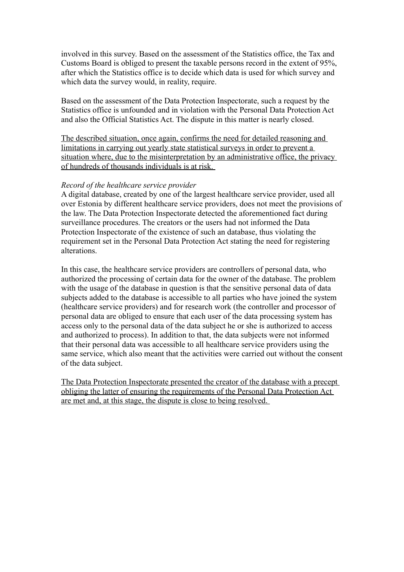involved in this survey. Based on the assessment of the Statistics office, the Tax and Customs Board is obliged to present the taxable persons record in the extent of 95%, after which the Statistics office is to decide which data is used for which survey and which data the survey would, in reality, require.

Based on the assessment of the Data Protection Inspectorate, such a request by the Statistics office is unfounded and in violation with the Personal Data Protection Act and also the Official Statistics Act. The dispute in this matter is nearly closed.

The described situation, once again, confirms the need for detailed reasoning and limitations in carrying out yearly state statistical surveys in order to prevent a situation where, due to the misinterpretation by an administrative office, the privacy of hundreds of thousands individuals is at risk.

#### *Record of the healthcare service provider*

A digital database, created by one of the largest healthcare service provider, used all over Estonia by different healthcare service providers, does not meet the provisions of the law. The Data Protection Inspectorate detected the aforementioned fact during surveillance procedures. The creators or the users had not informed the Data Protection Inspectorate of the existence of such an database, thus violating the requirement set in the Personal Data Protection Act stating the need for registering alterations.

In this case, the healthcare service providers are controllers of personal data, who authorized the processing of certain data for the owner of the database. The problem with the usage of the database in question is that the sensitive personal data of data subjects added to the database is accessible to all parties who have joined the system (healthcare service providers) and for research work (the controller and processor of personal data are obliged to ensure that each user of the data processing system has access only to the personal data of the data subject he or she is authorized to access and authorized to process). In addition to that, the data subjects were not informed that their personal data was accessible to all healthcare service providers using the same service, which also meant that the activities were carried out without the consent of the data subject.

The Data Protection Inspectorate presented the creator of the database with a precept obliging the latter of ensuring the requirements of the Personal Data Protection Act are met and, at this stage, the dispute is close to being resolved.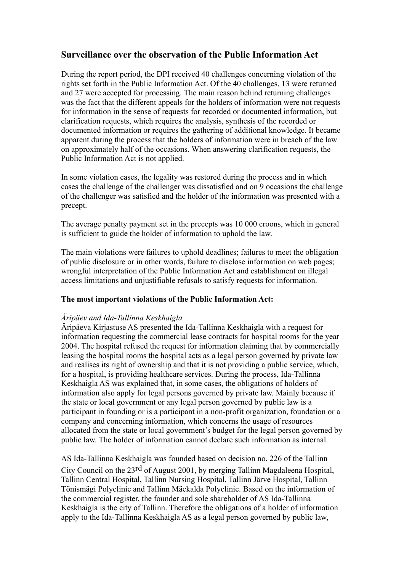## **Surveillance over the observation of the Public Information Act**

During the report period, the DPI received 40 challenges concerning violation of the rights set forth in the Public Information Act. Of the 40 challenges, 13 were returned and 27 were accepted for processing. The main reason behind returning challenges was the fact that the different appeals for the holders of information were not requests for information in the sense of requests for recorded or documented information, but clarification requests, which requires the analysis, synthesis of the recorded or documented information or requires the gathering of additional knowledge. It became apparent during the process that the holders of information were in breach of the law on approximately half of the occasions. When answering clarification requests, the Public Information Act is not applied.

In some violation cases, the legality was restored during the process and in which cases the challenge of the challenger was dissatisfied and on 9 occasions the challenge of the challenger was satisfied and the holder of the information was presented with a precept.

The average penalty payment set in the precepts was 10 000 croons, which in general is sufficient to guide the holder of information to uphold the law.

The main violations were failures to uphold deadlines; failures to meet the obligation of public disclosure or in other words, failure to disclose information on web pages; wrongful interpretation of the Public Information Act and establishment on illegal access limitations and unjustifiable refusals to satisfy requests for information.

### **The most important violations of the Public Information Act:**

### *Äripäev and Ida-Tallinna Keskhaigla*

Äripäeva Kirjastuse AS presented the Ida-Tallinna Keskhaigla with a request for information requesting the commercial lease contracts for hospital rooms for the year 2004. The hospital refused the request for information claiming that by commercially leasing the hospital rooms the hospital acts as a legal person governed by private law and realises its right of ownership and that it is not providing a public service, which, for a hospital, is providing healthcare services. During the process, Ida-Tallinna Keskhaigla AS was explained that, in some cases, the obligations of holders of information also apply for legal persons governed by private law. Mainly because if the state or local government or any legal person governed by public law is a participant in founding or is a participant in a non-profit organization, foundation or a company and concerning information, which concerns the usage of resources allocated from the state or local government's budget for the legal person governed by public law. The holder of information cannot declare such information as internal.

### AS Ida-Tallinna Keskhaigla was founded based on decision no. 226 of the Tallinn

City Council on the 23rd of August 2001, by merging Tallinn Magdaleena Hospital, Tallinn Central Hospital, Tallinn Nursing Hospital, Tallinn Järve Hospital, Tallinn Tõnismägi Polyclinic and Tallinn Mäekalda Polyclinic. Based on the information of the commercial register, the founder and sole shareholder of AS Ida-Tallinna Keskhaigla is the city of Tallinn. Therefore the obligations of a holder of information apply to the Ida-Tallinna Keskhaigla AS as a legal person governed by public law,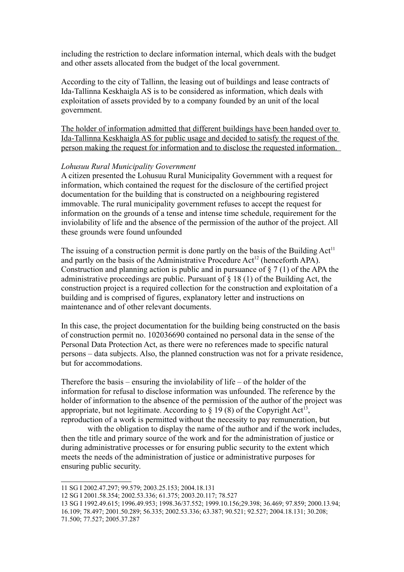including the restriction to declare information internal, which deals with the budget and other assets allocated from the budget of the local government.

According to the city of Tallinn, the leasing out of buildings and lease contracts of Ida-Tallinna Keskhaigla AS is to be considered as information, which deals with exploitation of assets provided by to a company founded by an unit of the local government.

The holder of information admitted that different buildings have been handed over to Ida-Tallinna Keskhaigla AS for public usage and decided to satisfy the request of the person making the request for information and to disclose the requested information.

#### *Lohusuu Rural Municipality Government*

A citizen presented the Lohusuu Rural Municipality Government with a request for information, which contained the request for the disclosure of the certified project documentation for the building that is constructed on a neighbouring registered immovable. The rural municipality government refuses to accept the request for information on the grounds of a tense and intense time schedule, requirement for the inviolability of life and the absence of the permission of the author of the project. All these grounds were found unfounded

The issuing of a construction permit is done partly on the basis of the Building  $Act<sup>11</sup>$  $Act<sup>11</sup>$  $Act<sup>11</sup>$ and partly on the basis of the Administrative Procedure  $Act^{12}$  $Act^{12}$  $Act^{12}$  (henceforth APA). Construction and planning action is public and in pursuance of  $\S 7(1)$  of the APA the administrative proceedings are public. Pursuant of  $\S$  18 (1) of the Building Act, the construction project is a required collection for the construction and exploitation of a building and is comprised of figures, explanatory letter and instructions on maintenance and of other relevant documents.

In this case, the project documentation for the building being constructed on the basis of construction permit no. 102036690 contained no personal data in the sense of the Personal Data Protection Act, as there were no references made to specific natural persons – data subjects. Also, the planned construction was not for a private residence, but for accommodations.

Therefore the basis – ensuring the inviolability of life – of the holder of the information for refusal to disclose information was unfounded. The reference by the holder of information to the absence of the permission of the author of the project was appropriate, but not legitimate. According to  $\S 19(8)$  of the Copyright Act<sup>[13](#page-11-2)</sup>, reproduction of a work is permitted without the necessity to pay remuneration, but

with the obligation to display the name of the author and if the work includes, then the title and primary source of the work and for the administration of justice or during administrative processes or for ensuring public security to the extent which meets the needs of the administration of justice or administrative purposes for ensuring public security.

<span id="page-11-0"></span><sup>11</sup> SG I 2002.47.297; 99.579; 2003.25.153; 2004.18.131

<span id="page-11-1"></span><sup>12</sup> SG I 2001.58.354; 2002.53.336; 61.375; 2003.20.117; 78.527

<span id="page-11-2"></span><sup>13</sup> SG I 1992.49.615; 1996.49.953; 1998.36/37.552; 1999.10.156;29.398; 36.469; 97.859; 2000.13.94;

<sup>16.109; 78.497; 2001.50.289; 56.335; 2002.53.336; 63.387; 90.521; 92.527; 2004.18.131; 30.208;</sup>

<sup>71.500; 77.527; 2005.37.287</sup>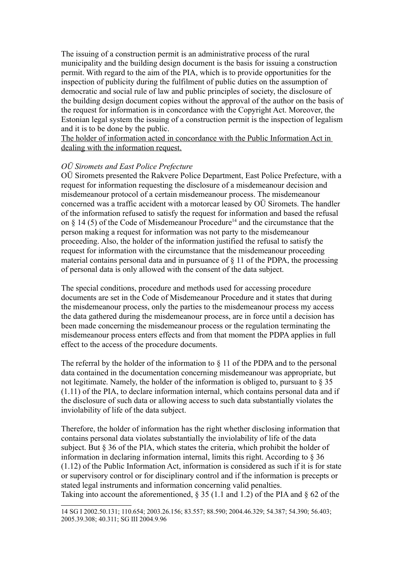The issuing of a construction permit is an administrative process of the rural municipality and the building design document is the basis for issuing a construction permit. With regard to the aim of the PIA, which is to provide opportunities for the inspection of publicity during the fulfilment of public duties on the assumption of democratic and social rule of law and public principles of society, the disclosure of the building design document copies without the approval of the author on the basis of the request for information is in concordance with the Copyright Act. Moreover, the Estonian legal system the issuing of a construction permit is the inspection of legalism and it is to be done by the public.

The holder of information acted in concordance with the Public Information Act in dealing with the information request.

### *OÜ Siromets and East Police Prefecture*

OÜ Siromets presented the Rakvere Police Department, East Police Prefecture, with a request for information requesting the disclosure of a misdemeanour decision and misdemeanour protocol of a certain misdemeanour process. The misdemeanour concerned was a traffic accident with a motorcar leased by OÜ Siromets. The handler of the information refused to satisfy the request for information and based the refusal on § [14](#page-12-0) (5) of the Code of Misdemeanour Procedure<sup>14</sup> and the circumstance that the person making a request for information was not party to the misdemeanour proceeding. Also, the holder of the information justified the refusal to satisfy the request for information with the circumstance that the misdemeanour proceeding material contains personal data and in pursuance of § 11 of the PDPA, the processing of personal data is only allowed with the consent of the data subject.

The special conditions, procedure and methods used for accessing procedure documents are set in the Code of Misdemeanour Procedure and it states that during the misdemeanour process, only the parties to the misdemeanour process my access the data gathered during the misdemeanour process, are in force until a decision has been made concerning the misdemeanour process or the regulation terminating the misdemeanour process enters effects and from that moment the PDPA applies in full effect to the access of the procedure documents.

The referral by the holder of the information to § 11 of the PDPA and to the personal data contained in the documentation concerning misdemeanour was appropriate, but not legitimate. Namely, the holder of the information is obliged to, pursuant to § 35 (1.11) of the PIA, to declare information internal, which contains personal data and if the disclosure of such data or allowing access to such data substantially violates the inviolability of life of the data subject.

Therefore, the holder of information has the right whether disclosing information that contains personal data violates substantially the inviolability of life of the data subject. But § 36 of the PIA, which states the criteria, which prohibit the holder of information in declaring information internal, limits this right. According to  $\S 36$ (1.12) of the Public Information Act, information is considered as such if it is for state or supervisory control or for disciplinary control and if the information is precepts or stated legal instruments and information concerning valid penalties. Taking into account the aforementioned, § 35 (1.1 and 1.2) of the PIA and § 62 of the

<span id="page-12-0"></span><sup>14</sup> SG I 2002.50.131; 110.654; 2003.26.156; 83.557; 88.590; 2004.46.329; 54.387; 54.390; 56.403; 2005.39.308; 40.311; SG III 2004.9.96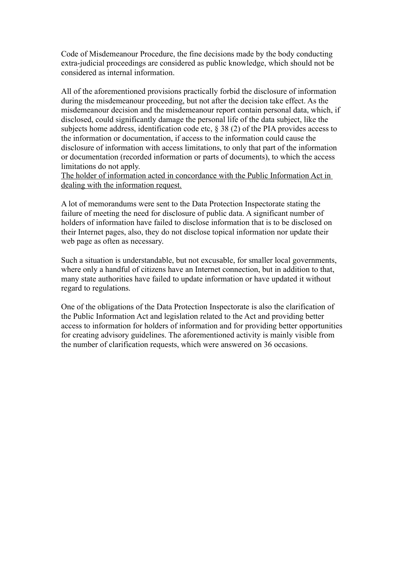Code of Misdemeanour Procedure, the fine decisions made by the body conducting extra-judicial proceedings are considered as public knowledge, which should not be considered as internal information.

All of the aforementioned provisions practically forbid the disclosure of information during the misdemeanour proceeding, but not after the decision take effect. As the misdemeanour decision and the misdemeanour report contain personal data, which, if disclosed, could significantly damage the personal life of the data subject, like the subjects home address, identification code etc, § 38 (2) of the PIA provides access to the information or documentation, if access to the information could cause the disclosure of information with access limitations, to only that part of the information or documentation (recorded information or parts of documents), to which the access limitations do not apply.

The holder of information acted in concordance with the Public Information Act in dealing with the information request.

A lot of memorandums were sent to the Data Protection Inspectorate stating the failure of meeting the need for disclosure of public data. A significant number of holders of information have failed to disclose information that is to be disclosed on their Internet pages, also, they do not disclose topical information nor update their web page as often as necessary.

Such a situation is understandable, but not excusable, for smaller local governments, where only a handful of citizens have an Internet connection, but in addition to that, many state authorities have failed to update information or have updated it without regard to regulations.

One of the obligations of the Data Protection Inspectorate is also the clarification of the Public Information Act and legislation related to the Act and providing better access to information for holders of information and for providing better opportunities for creating advisory guidelines. The aforementioned activity is mainly visible from the number of clarification requests, which were answered on 36 occasions.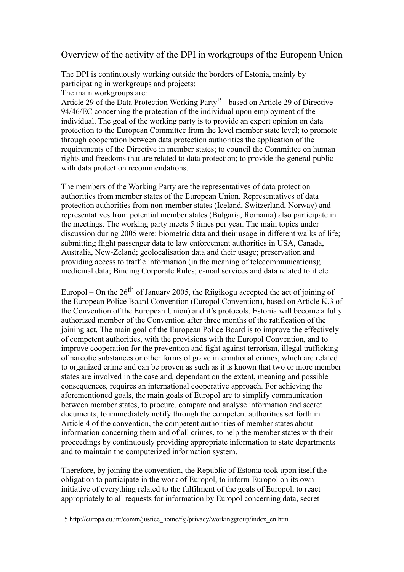## Overview of the activity of the DPI in workgroups of the European Union

The DPI is continuously working outside the borders of Estonia, mainly by participating in workgroups and projects:

The main workgroups are:

Article 29 of the Data Protection Working Party<sup>[15](#page-14-0)</sup> - based on Article 29 of Directive 94/46/EC concerning the protection of the individual upon employment of the individual. The goal of the working party is to provide an expert opinion on data protection to the European Committee from the level member state level; to promote through cooperation between data protection authorities the application of the requirements of the Directive in member states; to council the Committee on human rights and freedoms that are related to data protection; to provide the general public with data protection recommendations.

The members of the Working Party are the representatives of data protection authorities from member states of the European Union. Representatives of data protection authorities from non-member states (Iceland, Switzerland, Norway) and representatives from potential member states (Bulgaria, Romania) also participate in the meetings. The working party meets 5 times per year. The main topics under discussion during 2005 were: biometric data and their usage in different walks of life; submitting flight passenger data to law enforcement authorities in USA, Canada, Australia, New-Zeland; geolocalisation data and their usage; preservation and providing access to traffic information (in the meaning of telecommunications); medicinal data; Binding Corporate Rules; e-mail services and data related to it etc.

Europol – On the  $26<sup>th</sup>$  of January 2005, the Riigikogu accepted the act of joining of the European Police Board Convention (Europol Convention), based on Article K.3 of the Convention of the European Union) and it's protocols. Estonia will become a fully authorized member of the Convention after three months of the ratification of the joining act. The main goal of the European Police Board is to improve the effectively of competent authorities, with the provisions with the Europol Convention, and to improve cooperation for the prevention and fight against terrorism, illegal trafficking of narcotic substances or other forms of grave international crimes, which are related to organized crime and can be proven as such as it is known that two or more member states are involved in the case and, dependant on the extent, meaning and possible consequences, requires an international cooperative approach. For achieving the aforementioned goals, the main goals of Europol are to simplify communication between member states, to procure, compare and analyse information and secret documents, to immediately notify through the competent authorities set forth in Article 4 of the convention, the competent authorities of member states about information concerning them and of all crimes, to help the member states with their proceedings by continuously providing appropriate information to state departments and to maintain the computerized information system.

Therefore, by joining the convention, the Republic of Estonia took upon itself the obligation to participate in the work of Europol, to inform Europol on its own initiative of everything related to the fulfilment of the goals of Europol, to react appropriately to all requests for information by Europol concerning data, secret

<span id="page-14-0"></span><sup>15</sup> http://europa.eu.int/comm/justice\_home/fsj/privacy/workinggroup/index\_en.htm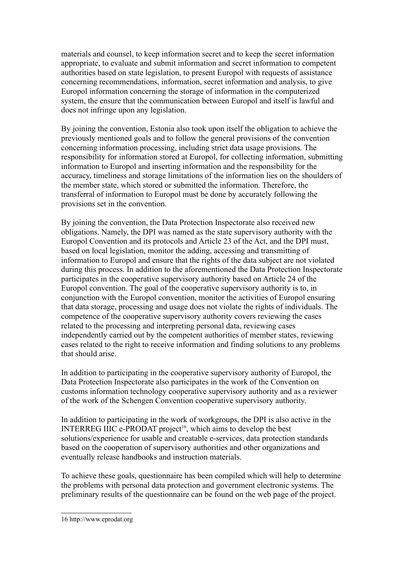materials and counsel, to keep information secret and to keep the secret information appropriate, to evaluate and submit information and secret information to competent authorities based on state legislation, to present Europol with requests of assistance concerning recommendations, information, secret information and analysis, to give Europol information concerning the storage of information in the computerized system, the ensure that the communication between Europol and itself is lawful and does not infringe upon any legislation.

By joining the convention, Estonia also took upon itself the obligation to achieve the previously mentioned goals and to follow the general provisions of the convention concerning information processing, including strict data usage provisions. The responsibility for information stored at Europol, for collecting information, submitting information to Europol and inserting information and the responsibility for the accuracy, timeliness and storage limitations of the information lies on the shoulders of the member state, which stored or submitted the information. Therefore, the transferral of information to Europol must be done by accurately following the provisions set in the convention.

By joining the convention, the Data Protection Inspectorate also received new obligations. Namely, the DPI was named as the state supervisory authority with the Europol Convention and its protocols and Article 23 of the Act, and the DPI must, based on local legislation, monitor the adding, accessing and transmitting of information to Europol and ensure that the rights of the data subject are not violated during this process. In addition to the aforementioned the Data Protection Inspectorate participates in the cooperative supervisory authority based on Article 24 of the Europol convention. The goal of the cooperative supervisory authority is to, in conjunction with the Europol convention, monitor the activities of Europol ensuring that data storage, processing and usage does not violate the rights of individuals. The competence of the cooperative supervisory authority covers reviewing the cases related to the processing and interpreting personal data, reviewing cases independently carried out by the competent authorities of member states, reviewing cases related to the right to receive information and finding solutions to any problems that should arise.

In addition to participating in the cooperative supervisory authority of Europol, the Data Protection Inspectorate also participates in the work of the Convention on customs information technology cooperative supervisory authority and as a reviewer of the work of the Schengen Convention cooperative supervisory authority.

In addition to participating in the work of workgroups, the DPI is also active in the INTERREG IIIC e-PRODAT project<sup>[16](#page-15-0)</sup>, which aims to develop the best solutions/experience for usable and creatable e-services, data protection standards based on the cooperation of supervisory authorities and other organizations and eventually release handbooks and instruction materials.

To achieve these goals, questionnaire has been compiled which will help to determine the problems with personal data protection and government electronic systems. The preliminary results of the questionnaire can be found on the web page of the project.

<span id="page-15-0"></span><sup>16</sup> http://www.eprodat.org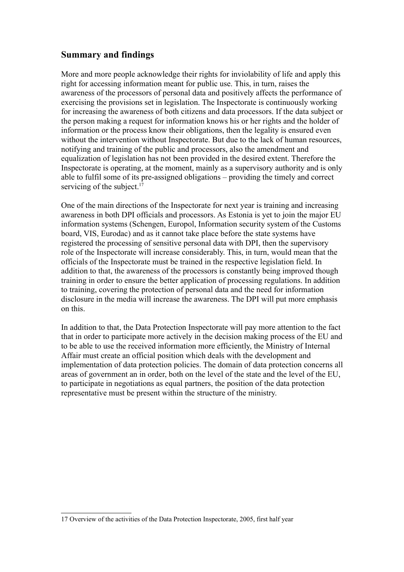## **Summary and findings**

More and more people acknowledge their rights for inviolability of life and apply this right for accessing information meant for public use. This, in turn, raises the awareness of the processors of personal data and positively affects the performance of exercising the provisions set in legislation. The Inspectorate is continuously working for increasing the awareness of both citizens and data processors. If the data subject or the person making a request for information knows his or her rights and the holder of information or the process know their obligations, then the legality is ensured even without the intervention without Inspectorate. But due to the lack of human resources, notifying and training of the public and processors, also the amendment and equalization of legislation has not been provided in the desired extent. Therefore the Inspectorate is operating, at the moment, mainly as a supervisory authority and is only able to fulfil some of its pre-assigned obligations – providing the timely and correct servicing of the subject.<sup>[17](#page-16-0)</sup>

One of the main directions of the Inspectorate for next year is training and increasing awareness in both DPI officials and processors. As Estonia is yet to join the major EU information systems (Schengen, Europol, Information security system of the Customs board, VIS, Eurodac) and as it cannot take place before the state systems have registered the processing of sensitive personal data with DPI, then the supervisory role of the Inspectorate will increase considerably. This, in turn, would mean that the officials of the Inspectorate must be trained in the respective legislation field. In addition to that, the awareness of the processors is constantly being improved though training in order to ensure the better application of processing regulations. In addition to training, covering the protection of personal data and the need for information disclosure in the media will increase the awareness. The DPI will put more emphasis on this.

In addition to that, the Data Protection Inspectorate will pay more attention to the fact that in order to participate more actively in the decision making process of the EU and to be able to use the received information more efficiently, the Ministry of Internal Affair must create an official position which deals with the development and implementation of data protection policies. The domain of data protection concerns all areas of government an in order, both on the level of the state and the level of the EU, to participate in negotiations as equal partners, the position of the data protection representative must be present within the structure of the ministry.

<span id="page-16-0"></span><sup>17</sup> Overview of the activities of the Data Protection Inspectorate, 2005, first half year